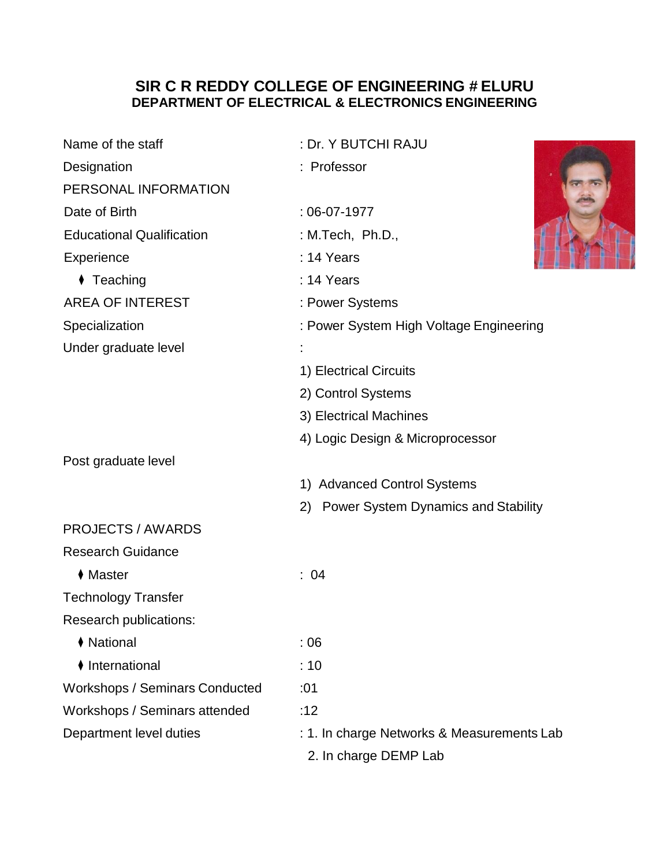## **SIR C R REDDY COLLEGE OF ENGINEERING # ELURU DEPARTMENT OF ELECTRICAL & ELECTRONICS ENGINEERING**

| Name of the staff                     | : Dr. Y BUTCHI RAJU                        |
|---------------------------------------|--------------------------------------------|
| Designation                           | : Professor                                |
| PERSONAL INFORMATION                  |                                            |
| Date of Birth                         | $:06-07-1977$                              |
| <b>Educational Qualification</b>      | : M.Tech, Ph.D.,                           |
| Experience                            | : 14 Years                                 |
| $\blacklozenge$ Teaching              | : 14 Years                                 |
| <b>AREA OF INTEREST</b>               | : Power Systems                            |
| Specialization                        | : Power System High Voltage Engineering    |
| Under graduate level                  |                                            |
|                                       | 1) Electrical Circuits                     |
|                                       | 2) Control Systems                         |
|                                       | 3) Electrical Machines                     |
|                                       | 4) Logic Design & Microprocessor           |
| Post graduate level                   |                                            |
|                                       | 1) Advanced Control Systems                |
|                                       | 2) Power System Dynamics and Stability     |
| <b>PROJECTS / AWARDS</b>              |                                            |
| <b>Research Guidance</b>              |                                            |
| $\blacklozenge$ Master                | : 04                                       |
| <b>Technology Transfer</b>            |                                            |
| Research publications:                |                                            |
| ♦ National                            | :06                                        |
| ♦ International                       | :10                                        |
| <b>Workshops / Seminars Conducted</b> | :01                                        |
| Workshops / Seminars attended         | :12                                        |
| Department level duties               | : 1. In charge Networks & Measurements Lab |
|                                       | 2. In charge DEMP Lab                      |